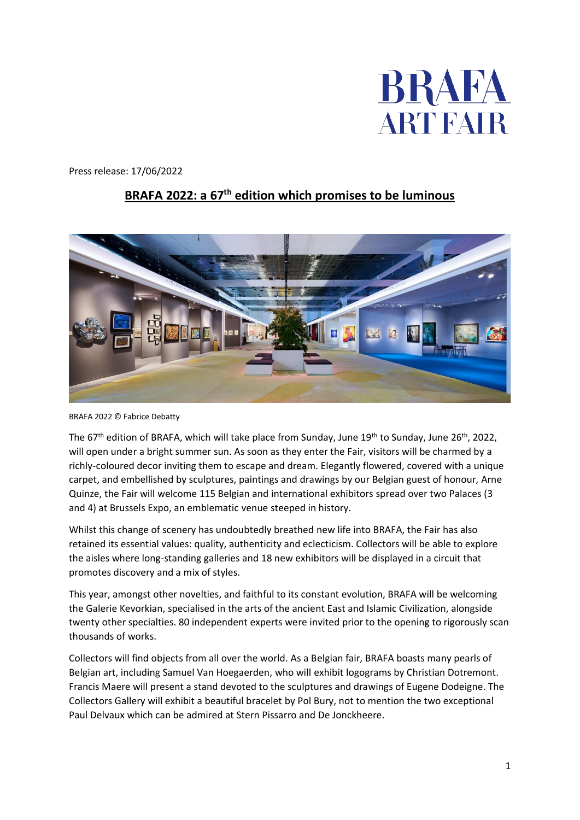

Press release: 17/06/2022

## **BRAFA 2022: a 67th edition which promises to be luminous**



BRAFA 2022 © Fabrice Debatty

The 67<sup>th</sup> edition of BRAFA, which will take place from Sunday, June 19<sup>th</sup> to Sunday, June 26<sup>th</sup>, 2022, will open under a bright summer sun. As soon as they enter the Fair, visitors will be charmed by a richly-coloured decor inviting them to escape and dream. Elegantly flowered, covered with a unique carpet, and embellished by sculptures, paintings and drawings by our Belgian guest of honour, Arne Quinze, the Fair will welcome 115 Belgian and international exhibitors spread over two Palaces (3 and 4) at Brussels Expo, an emblematic venue steeped in history.

Whilst this change of scenery has undoubtedly breathed new life into BRAFA, the Fair has also retained its essential values: quality, authenticity and eclecticism. Collectors will be able to explore the aisles where long-standing galleries and 18 new exhibitors will be displayed in a circuit that promotes discovery and a mix of styles.

This year, amongst other novelties, and faithful to its constant evolution, BRAFA will be welcoming the Galerie Kevorkian, specialised in the arts of the ancient East and Islamic Civilization, alongside twenty other specialties. 80 independent experts were invited prior to the opening to rigorously scan thousands of works.

Collectors will find objects from all over the world. As a Belgian fair, BRAFA boasts many pearls of Belgian art, including Samuel Van Hoegaerden, who will exhibit logograms by Christian Dotremont. Francis Maere will present a stand devoted to the sculptures and drawings of Eugene Dodeigne. The Collectors Gallery will exhibit a beautiful bracelet by Pol Bury, not to mention the two exceptional Paul Delvaux which can be admired at Stern Pissarro and De Jonckheere.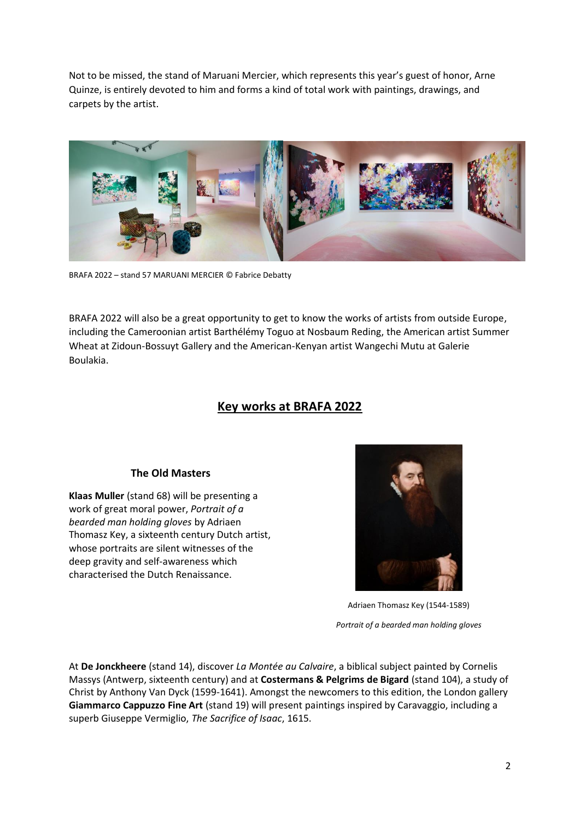Not to be missed, the stand of Maruani Mercier, which represents this year's guest of honor, Arne Quinze, is entirely devoted to him and forms a kind of total work with paintings, drawings, and carpets by the artist.



BRAFA 2022 – stand 57 MARUANI MERCIER © Fabrice Debatty

BRAFA 2022 will also be a great opportunity to get to know the works of artists from outside Europe, including the Cameroonian artist Barthélémy Toguo at Nosbaum Reding, the American artist Summer Wheat at Zidoun-Bossuyt Gallery and the American-Kenyan artist Wangechi Mutu at Galerie Boulakia.

# **Key works at BRAFA 2022**

### **The Old Masters**

**Klaas Muller** (stand 68) will be presenting a work of great moral power, *Portrait of a bearded man holding gloves* by Adriaen Thomasz Key, a sixteenth century Dutch artist, whose portraits are silent witnesses of the deep gravity and self-awareness which characterised the Dutch Renaissance.



Adriaen Thomasz Key (1544-1589)

*Portrait of a bearded man holding gloves*

At **De Jonckheere** (stand 14), discover *La Montée au Calvaire*, a biblical subject painted by Cornelis Massys (Antwerp, sixteenth century) and at **Costermans & Pelgrims de Bigard** (stand 104), a study of Christ by Anthony Van Dyck (1599-1641). Amongst the newcomers to this edition, the London gallery **Giammarco Cappuzzo Fine Art** (stand 19) will present paintings inspired by Caravaggio, including a superb Giuseppe Vermiglio, *The Sacrifice of Isaac*, 1615.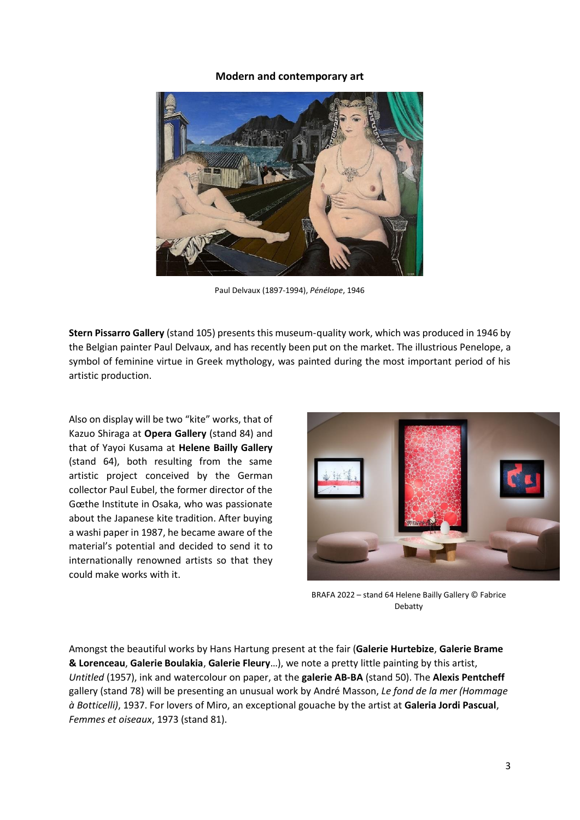#### **Modern and contemporary art**



Paul Delvaux (1897-1994), *Pénélope*, 1946

**Stern Pissarro Gallery** (stand 105) presents this museum-quality work, which was produced in 1946 by the Belgian painter Paul Delvaux, and has recently been put on the market. The illustrious Penelope, a symbol of feminine virtue in Greek mythology, was painted during the most important period of his artistic production.

Also on display will be two "kite" works, that of Kazuo Shiraga at **Opera Gallery** (stand 84) and that of Yayoi Kusama at **Helene Bailly Gallery** (stand 64), both resulting from the same artistic project conceived by the German collector Paul Eubel, the former director of the Gœthe Institute in Osaka, who was passionate about the Japanese kite tradition. After buying a washi paper in 1987, he became aware of the material's potential and decided to send it to internationally renowned artists so that they could make works with it.



BRAFA 2022 – stand 64 Helene Bailly Gallery © Fabrice Debatty

Amongst the beautiful works by Hans Hartung present at the fair (**Galerie Hurtebize**, **Galerie Brame & Lorenceau**, **Galerie Boulakia**, **Galerie Fleury**…), we note a pretty little painting by this artist, *Untitled* (1957), ink and watercolour on paper, at the **galerie AB-BA** (stand 50). The **Alexis Pentcheff** gallery (stand 78) will be presenting an unusual work by André Masson, *Le fond de la mer (Hommage à Botticelli)*, 1937. For lovers of Miro, an exceptional gouache by the artist at **Galeria Jordi Pascual**, *Femmes et oiseaux*, 1973 (stand 81).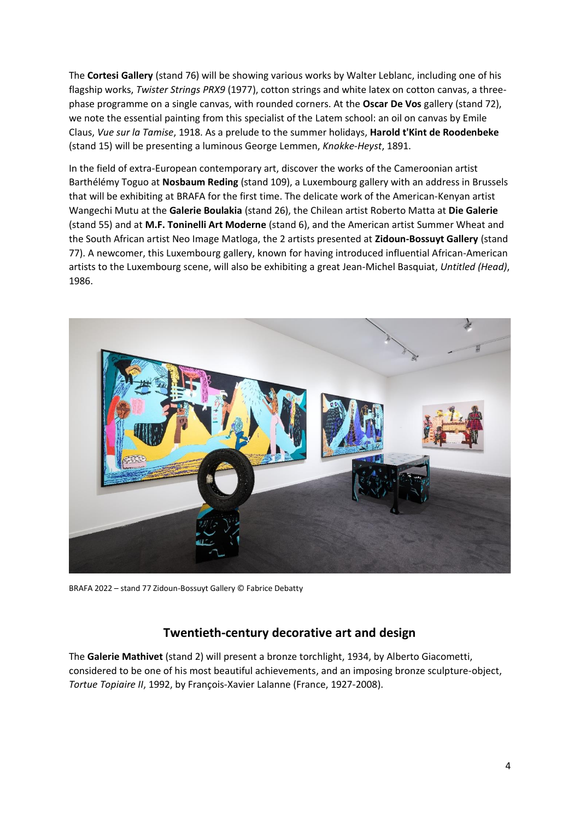The **Cortesi Gallery** (stand 76) will be showing various works by Walter Leblanc, including one of his flagship works, *Twister Strings PRX9* (1977), cotton strings and white latex on cotton canvas, a threephase programme on a single canvas, with rounded corners. At the **Oscar De Vos** gallery (stand 72), we note the essential painting from this specialist of the Latem school: an oil on canvas by Emile Claus, *Vue sur la Tamise*, 1918. As a prelude to the summer holidays, **Harold t'Kint de Roodenbeke** (stand 15) will be presenting a luminous George Lemmen, *Knokke-Heyst*, 1891.

In the field of extra-European contemporary art, discover the works of the Cameroonian artist Barthélémy Toguo at **Nosbaum Reding** (stand 109), a Luxembourg gallery with an address in Brussels that will be exhibiting at BRAFA for the first time. The delicate work of the American-Kenyan artist Wangechi Mutu at the **Galerie Boulakia** (stand 26), the Chilean artist Roberto Matta at **Die Galerie** (stand 55) and at **M.F. Toninelli Art Moderne** (stand 6), and the American artist Summer Wheat and the South African artist Neo Image Matloga, the 2 artists presented at **Zidoun-Bossuyt Gallery** (stand 77). A newcomer, this Luxembourg gallery, known for having introduced influential African-American artists to the Luxembourg scene, will also be exhibiting a great Jean-Michel Basquiat, *Untitled (Head)*, 1986.



BRAFA 2022 – stand 77 Zidoun-Bossuyt Gallery © Fabrice Debatty

## **Twentieth-century decorative art and design**

The **Galerie Mathivet** (stand 2) will present a bronze torchlight, 1934, by Alberto Giacometti, considered to be one of his most beautiful achievements, and an imposing bronze sculpture-object, *Tortue Topiaire II*, 1992, by François-Xavier Lalanne (France, 1927-2008).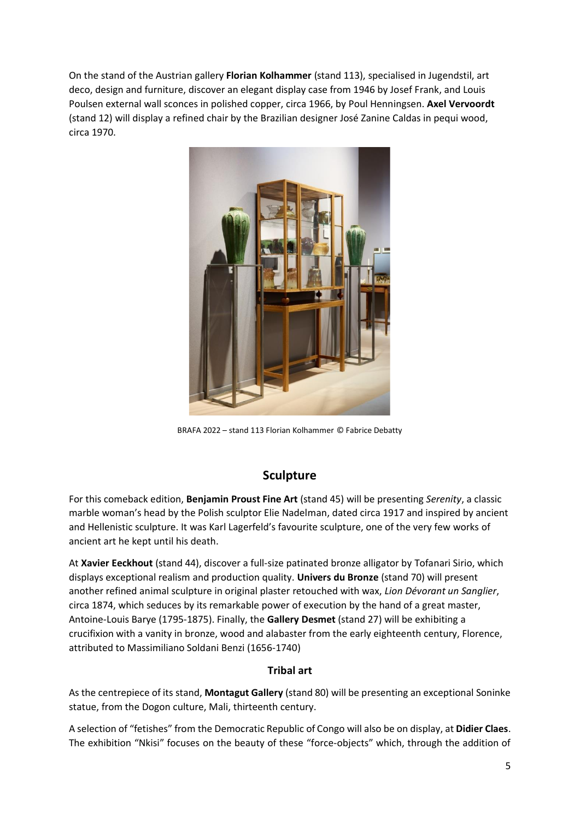On the stand of the Austrian gallery **Florian Kolhammer** (stand 113), specialised in Jugendstil, art deco, design and furniture, discover an elegant display case from 1946 by Josef Frank, and Louis Poulsen external wall sconces in polished copper, circa 1966, by Poul Henningsen. **Axel Vervoordt** (stand 12) will display a refined chair by the Brazilian designer José Zanine Caldas in pequi wood, circa 1970.



BRAFA 2022 – stand 113 Florian Kolhammer © Fabrice Debatty

## **Sculpture**

For this comeback edition, **Benjamin Proust Fine Art** (stand 45) will be presenting *Serenity*, a classic marble woman's head by the Polish sculptor Elie Nadelman, dated circa 1917 and inspired by ancient and Hellenistic sculpture. It was Karl Lagerfeld's favourite sculpture, one of the very few works of ancient art he kept until his death.

At **Xavier Eeckhout** (stand 44), discover a full-size patinated bronze alligator by Tofanari Sirio, which displays exceptional realism and production quality. **Univers du Bronze** (stand 70) will present another refined animal sculpture in original plaster retouched with wax, *Lion Dévorant un Sanglier*, circa 1874, which seduces by its remarkable power of execution by the hand of a great master, Antoine-Louis Barye (1795-1875). Finally, the **Gallery Desmet** (stand 27) will be exhibiting a crucifixion with a vanity in bronze, wood and alabaster from the early eighteenth century, Florence, attributed to Massimiliano Soldani Benzi (1656-1740)

### **Tribal art**

As the centrepiece of its stand, **Montagut Gallery** (stand 80) will be presenting an exceptional Soninke statue, from the Dogon culture, Mali, thirteenth century.

A selection of "fetishes" from the Democratic Republic of Congo will also be on display, at **Didier Claes**. The exhibition "Nkisi" focuses on the beauty of these "force-objects" which, through the addition of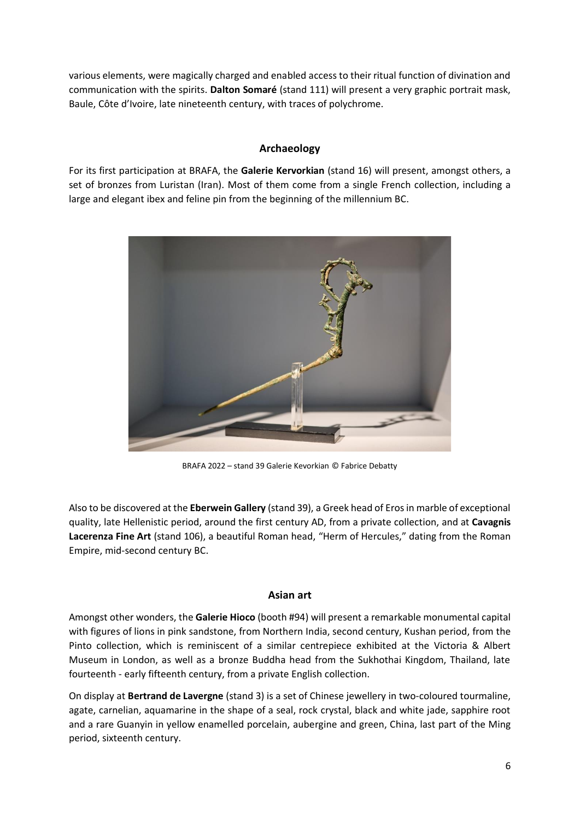various elements, were magically charged and enabled access to their ritual function of divination and communication with the spirits. **Dalton Somaré** (stand 111) will present a very graphic portrait mask, Baule, Côte d'Ivoire, late nineteenth century, with traces of polychrome.

## **Archaeology**

For its first participation at BRAFA, the **Galerie Kervorkian** (stand 16) will present, amongst others, a set of bronzes from Luristan (Iran). Most of them come from a single French collection, including a large and elegant ibex and feline pin from the beginning of the millennium BC.



BRAFA 2022 – stand 39 Galerie Kevorkian © Fabrice Debatty

Also to be discovered at the **Eberwein Gallery** (stand 39), a Greek head of Eros in marble of exceptional quality, late Hellenistic period, around the first century AD, from a private collection, and at **Cavagnis Lacerenza Fine Art** (stand 106), a beautiful Roman head, "Herm of Hercules," dating from the Roman Empire, mid-second century BC.

### **Asian art**

Amongst other wonders, the **Galerie Hioco** (booth #94) will present a remarkable monumental capital with figures of lions in pink sandstone, from Northern India, second century, Kushan period, from the Pinto collection, which is reminiscent of a similar centrepiece exhibited at the Victoria & Albert Museum in London, as well as a bronze Buddha head from the Sukhothai Kingdom, Thailand, late fourteenth - early fifteenth century, from a private English collection.

On display at **Bertrand de Lavergne** (stand 3) is a set of Chinese jewellery in two-coloured tourmaline, agate, carnelian, aquamarine in the shape of a seal, rock crystal, black and white jade, sapphire root and a rare Guanyin in yellow enamelled porcelain, aubergine and green, China, last part of the Ming period, sixteenth century.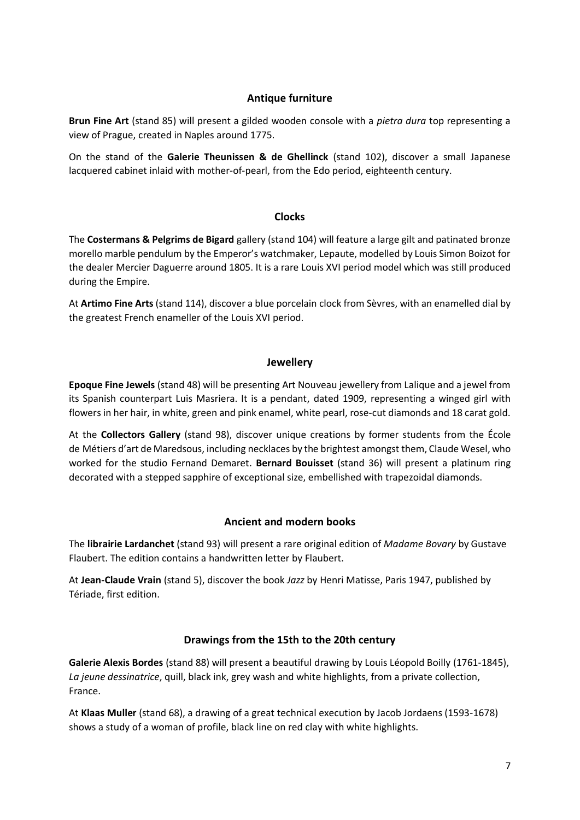### **Antique furniture**

**Brun Fine Art** (stand 85) will present a gilded wooden console with a *pietra dura* top representing a view of Prague, created in Naples around 1775.

On the stand of the **Galerie Theunissen & de Ghellinck** (stand 102), discover a small Japanese lacquered cabinet inlaid with mother-of-pearl, from the Edo period, eighteenth century.

### **Clocks**

The **Costermans & Pelgrims de Bigard** gallery (stand 104) will feature a large gilt and patinated bronze morello marble pendulum by the Emperor's watchmaker, Lepaute, modelled by Louis Simon Boizot for the dealer Mercier Daguerre around 1805. It is a rare Louis XVI period model which was still produced during the Empire.

At **Artimo Fine Arts** (stand 114), discover a blue porcelain clock from Sèvres, with an enamelled dial by the greatest French enameller of the Louis XVI period.

### **Jewellery**

**Epoque Fine Jewels** (stand 48) will be presenting Art Nouveau jewellery from Lalique and a jewel from its Spanish counterpart Luis Masriera. It is a pendant, dated 1909, representing a winged girl with flowers in her hair, in white, green and pink enamel, white pearl, rose-cut diamonds and 18 carat gold.

At the **Collectors Gallery** (stand 98), discover unique creations by former students from the École de Métiers d'art de Maredsous, including necklaces by the brightest amongst them, Claude Wesel, who worked for the studio Fernand Demaret. **Bernard Bouisset** (stand 36) will present a platinum ring decorated with a stepped sapphire of exceptional size, embellished with trapezoidal diamonds.

### **Ancient and modern books**

The **librairie Lardanchet** (stand 93) will present a rare original edition of *Madame Bovary* by Gustave Flaubert. The edition contains a handwritten letter by Flaubert.

At **Jean-Claude Vrain** (stand 5), discover the book *Jazz* by Henri Matisse, Paris 1947, published by Tériade, first edition.

### **Drawings from the 15th to the 20th century**

**Galerie Alexis Bordes** (stand 88) will present a beautiful drawing by Louis Léopold Boilly (1761-1845), *La jeune dessinatrice*, quill, black ink, grey wash and white highlights, from a private collection, France.

At **Klaas Muller** (stand 68), a drawing of a great technical execution by Jacob Jordaens (1593-1678) shows a study of a woman of profile, black line on red clay with white highlights.